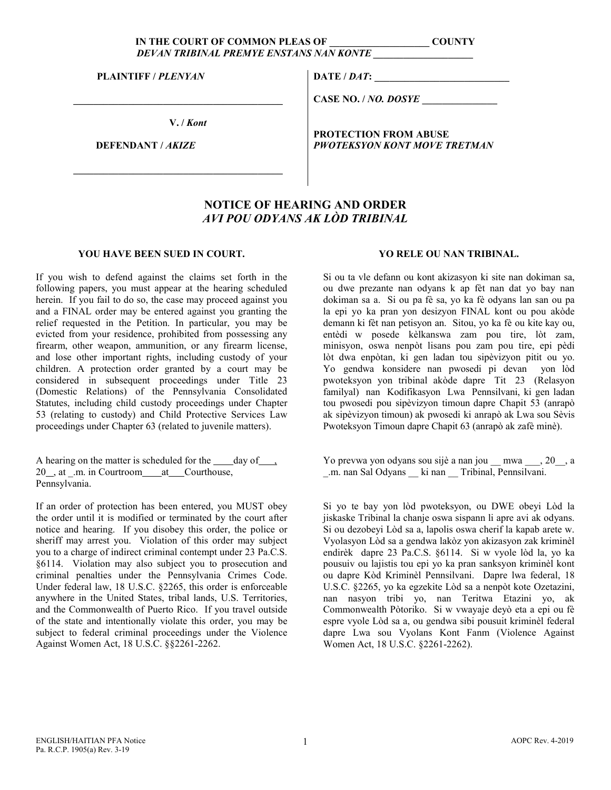## IN THE COURT OF COMMON PLEAS OF **COUNTY** *DEVAN TRIBINAL PREMYE ENSTANS NAN KONTE \_\_\_\_\_\_\_\_\_\_\_\_\_\_\_\_\_\_\_\_*

**PLAINTIFF /** *PLENYAN*

**V. /** *Kont*

 **\_\_\_\_\_\_\_\_\_\_\_\_\_\_\_\_\_\_\_\_\_\_\_\_\_\_\_\_\_\_\_\_\_\_\_\_\_\_\_\_\_\_**

 **\_\_\_\_\_\_\_\_\_\_\_\_\_\_\_\_\_\_\_\_\_\_\_\_\_\_\_\_\_\_\_\_\_\_\_\_\_\_\_\_\_\_**

 **DEFENDANT /** *AKIZE*

**DATE /** *DAT***:** 

**CASE NO. /** *NO. DOSYE* **\_\_\_\_\_\_\_\_\_\_\_\_\_\_\_**

**PROTECTION FROM ABUSE** *PWOTEKSYON KONT MOVE TRETMAN*

## **NOTICE OF HEARING AND ORDER**  *AVI POU ODYANS AK LÒD TRIBINAL*

## **YOU HAVE BEEN SUED IN COURT.**

If you wish to defend against the claims set forth in the following papers, you must appear at the hearing scheduled herein. If you fail to do so, the case may proceed against you and a FINAL order may be entered against you granting the relief requested in the Petition. In particular, you may be evicted from your residence, prohibited from possessing any firearm, other weapon, ammunition, or any firearm license, and lose other important rights, including custody of your children. A protection order granted by a court may be considered in subsequent proceedings under Title 23 (Domestic Relations) of the Pennsylvania Consolidated Statutes, including child custody proceedings under Chapter 53 (relating to custody) and Child Protective Services Law proceedings under Chapter 63 (related to juvenile matters).

A hearing on the matter is scheduled for the day of, 20 , at .m. in Courtroom at Courthouse, Pennsylvania.

If an order of protection has been entered, you MUST obey the order until it is modified or terminated by the court after notice and hearing. If you disobey this order, the police or sheriff may arrest you. Violation of this order may subject you to a charge of indirect criminal contempt under 23 Pa.C.S. §6114. Violation may also subject you to prosecution and criminal penalties under the Pennsylvania Crimes Code. Under federal law, 18 U.S.C. §2265, this order is enforceable anywhere in the United States, tribal lands, U.S. Territories, and the Commonwealth of Puerto Rico. If you travel outside of the state and intentionally violate this order, you may be subject to federal criminal proceedings under the Violence Against Women Act, 18 U.S.C. §§2261-2262.

## **YO RELE OU NAN TRIBINAL.**

Si ou ta vle defann ou kont akizasyon ki site nan dokiman sa, ou dwe prezante nan odyans k ap fèt nan dat yo bay nan dokiman sa a. Si ou pa fè sa, yo ka fè odyans lan san ou pa la epi yo ka pran yon desizyon FINAL kont ou pou akòde demann ki fèt nan petisyon an. Sitou, yo ka fè ou kite kay ou, entèdi w posede kèlkanswa zam pou tire, lòt zam, minisyon, oswa nenpòt lisans pou zam pou tire, epi pèdi lòt dwa enpòtan, ki gen ladan tou sipèvizyon pitit ou yo. Yo gendwa konsidere nan pwosedi pi devan yon lòd pwoteksyon yon tribinal akòde dapre Tit 23 (Relasyon familyal) nan Kodifikasyon Lwa Pennsilvani, ki gen ladan tou pwosedi pou sipèvizyon timoun dapre Chapit 53 (anrapò ak sipèvizyon timoun) ak pwosedi ki anrapò ak Lwa sou Sèvis Pwoteksyon Timoun dapre Chapit 63 (anrapò ak zafè minè).

Yo prevwa yon odyans sou sijè a nan jou mwa , 20, a \_.m. nan Sal Odyans \_\_ ki nan \_\_ Tribinal, Pennsilvani.

Si yo te bay yon lòd pwoteksyon, ou DWE obeyi Lòd la jiskaske Tribinal la chanje oswa sispann li apre avi ak odyans. Si ou dezobeyi Lòd sa a, lapolis oswa cherif la kapab arete w. Vyolasyon Lòd sa a gendwa lakòz yon akizasyon zak kriminèl endirèk dapre 23 Pa.C.S. §6114. Si w vyole lòd la, yo ka pousuiv ou lajistis tou epi yo ka pran sanksyon kriminèl kont ou dapre Kòd Kriminèl Pennsilvani. Dapre lwa federal, 18 U.S.C. §2265, yo ka egzekite Lòd sa a nenpòt kote Ozetazini, nan nasyon tribi yo, nan Teritwa Etazini yo, ak Commonwealth Pòtoriko. Si w vwayaje deyò eta a epi ou fè espre vyole Lòd sa a, ou gendwa sibi pousuit kriminèl federal dapre Lwa sou Vyolans Kont Fanm (Violence Against Women Act, 18 U.S.C. §2261-2262).